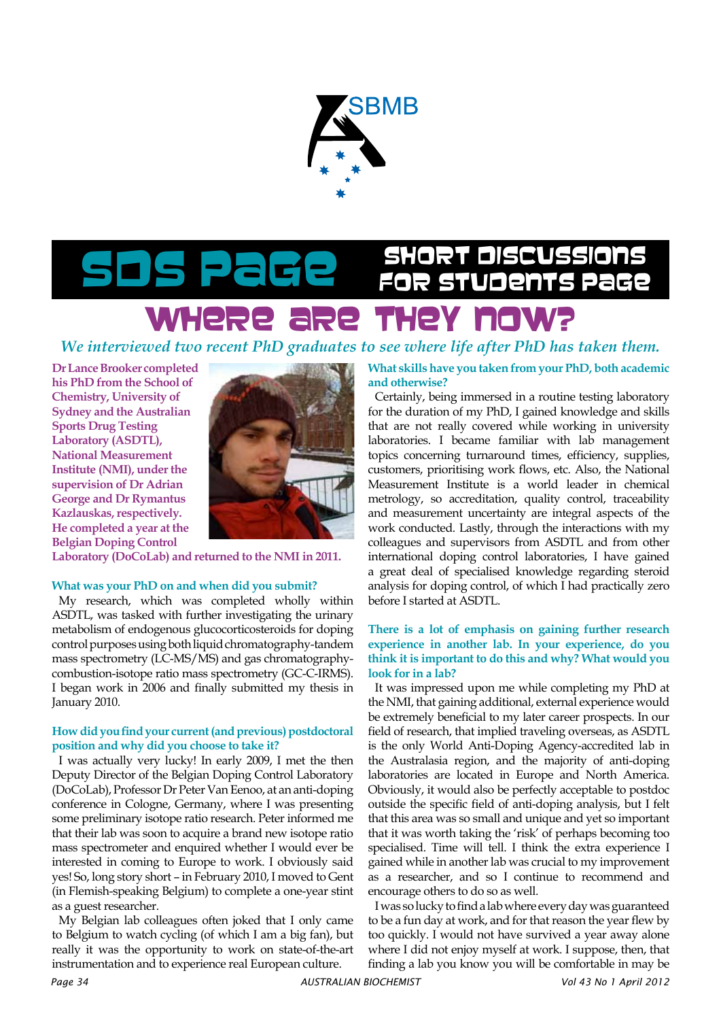

# Short Discussions SDS Page for Students Page

### WHere are they now?

*We interviewed two recent PhD graduates to see where life after PhD has taken them.*

**Dr Lance Brooker completed his PhD from the School of Chemistry, University of Sydney and the Australian Sports Drug Testing Laboratory (ASDTL), National Measurement Institute (NMI), under the supervision of Dr Adrian George and Dr Rymantus Kazlauskas, respectively. He completed a year at the Belgian Doping Control** 



**Laboratory (DoCoLab) and returned to the NMI in 2011.** 

#### **What was your PhD on and when did you submit?**

My research, which was completed wholly within ASDTL, was tasked with further investigating the urinary metabolism of endogenous glucocorticosteroids for doping control purposes using both liquid chromatography-tandem mass spectrometry (LC-MS/MS) and gas chromatographycombustion-isotope ratio mass spectrometry (GC-C-IRMS). I began work in 2006 and finally submitted my thesis in January 2010.

#### **How did you find your current (and previous) postdoctoral position and why did you choose to take it?**

I was actually very lucky! In early 2009, I met the then Deputy Director of the Belgian Doping Control Laboratory (DoCoLab), Professor Dr Peter Van Eenoo, at an anti-doping conference in Cologne, Germany, where I was presenting some preliminary isotope ratio research. Peter informed me that their lab was soon to acquire a brand new isotope ratio mass spectrometer and enquired whether I would ever be interested in coming to Europe to work. I obviously said yes! So, long story short – in February 2010, I moved to Gent (in Flemish-speaking Belgium) to complete a one-year stint as a guest researcher.

My Belgian lab colleagues often joked that I only came to Belgium to watch cycling (of which I am a big fan), but really it was the opportunity to work on state-of-the-art instrumentation and to experience real European culture.

**What skills have you taken from your PhD, both academic and otherwise?** 

Certainly, being immersed in a routine testing laboratory for the duration of my PhD, I gained knowledge and skills that are not really covered while working in university laboratories. I became familiar with lab management topics concerning turnaround times, efficiency, supplies, customers, prioritising work flows, etc. Also, the National Measurement Institute is a world leader in chemical metrology, so accreditation, quality control, traceability and measurement uncertainty are integral aspects of the work conducted. Lastly, through the interactions with my colleagues and supervisors from ASDTL and from other international doping control laboratories, I have gained a great deal of specialised knowledge regarding steroid analysis for doping control, of which I had practically zero before I started at ASDTL.

#### **There is a lot of emphasis on gaining further research experience in another lab. In your experience, do you think it is important to do this and why? What would you look for in a lab?**

It was impressed upon me while completing my PhD at the NMI, that gaining additional, external experience would be extremely beneficial to my later career prospects. In our field of research, that implied traveling overseas, as ASDTL is the only World Anti-Doping Agency-accredited lab in the Australasia region, and the majority of anti-doping laboratories are located in Europe and North America. Obviously, it would also be perfectly acceptable to postdoc outside the specific field of anti-doping analysis, but I felt that this area was so small and unique and yet so important that it was worth taking the 'risk' of perhaps becoming too specialised. Time will tell. I think the extra experience I gained while in another lab was crucial to my improvement as a researcher, and so I continue to recommend and encourage others to do so as well.

I was so lucky to find a lab where every day was guaranteed to be a fun day at work, and for that reason the year flew by too quickly. I would not have survived a year away alone where I did not enjoy myself at work. I suppose, then, that finding a lab you know you will be comfortable in may be